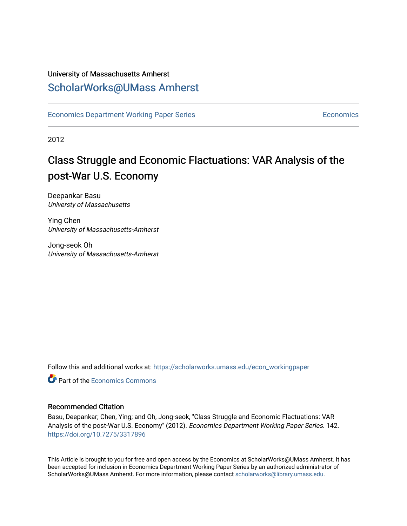#### University of Massachusetts Amherst [ScholarWorks@UMass Amherst](https://scholarworks.umass.edu/)

[Economics Department Working Paper Series](https://scholarworks.umass.edu/econ_workingpaper) **Economics** [Economics](https://scholarworks.umass.edu/economics) Economics

2012

### Class Struggle and Economic Flactuations: VAR Analysis of the post-War U.S. Economy

Deepankar Basu Universty of Massachusetts

Ying Chen University of Massachusetts-Amherst

Jong-seok Oh University of Massachusetts-Amherst

Follow this and additional works at: [https://scholarworks.umass.edu/econ\\_workingpaper](https://scholarworks.umass.edu/econ_workingpaper?utm_source=scholarworks.umass.edu%2Fecon_workingpaper%2F142&utm_medium=PDF&utm_campaign=PDFCoverPages) 

**C** Part of the [Economics Commons](http://network.bepress.com/hgg/discipline/340?utm_source=scholarworks.umass.edu%2Fecon_workingpaper%2F142&utm_medium=PDF&utm_campaign=PDFCoverPages)

#### Recommended Citation

Basu, Deepankar; Chen, Ying; and Oh, Jong-seok, "Class Struggle and Economic Flactuations: VAR Analysis of the post-War U.S. Economy" (2012). Economics Department Working Paper Series. 142. <https://doi.org/10.7275/3317896>

This Article is brought to you for free and open access by the Economics at ScholarWorks@UMass Amherst. It has been accepted for inclusion in Economics Department Working Paper Series by an authorized administrator of ScholarWorks@UMass Amherst. For more information, please contact [scholarworks@library.umass.edu.](mailto:scholarworks@library.umass.edu)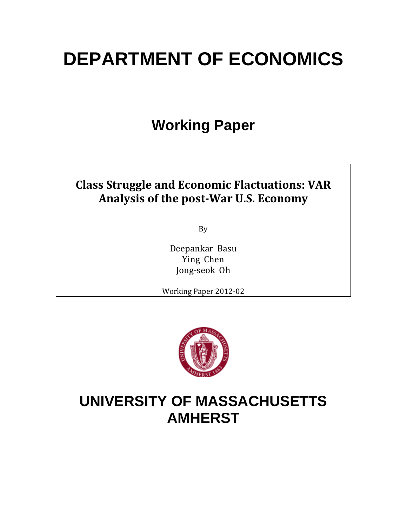# **DEPARTMENT OF ECONOMICS**

# **Working Paper**

### **Class Struggle and Economic Flactuations: VAR Analysis of the postWar U.S. Economy**

By

Deepankar Basu Ying Chen Jong‐seok Oh

Working Paper 2012‐02



# **UNIVERSITY OF MASSACHUSETTS AMHERST**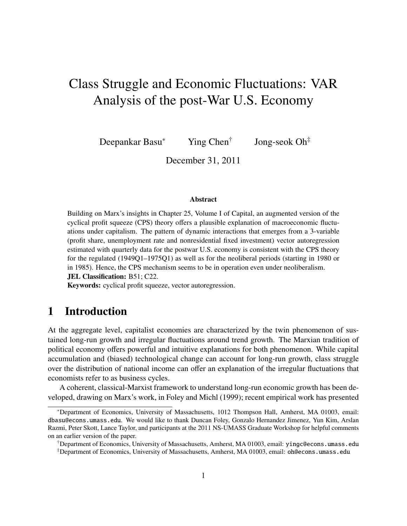## Class Struggle and Economic Fluctuations: VAR Analysis of the post-War U.S. Economy

Deepankar Basu<sup>∗</sup> Ying Chen<sup>†</sup> Jong-seok Oh‡

December 31, 2011

#### Abstract

Building on Marx's insights in Chapter 25, Volume I of Capital, an augmented version of the cyclical profit squeeze (CPS) theory offers a plausible explanation of macroeconomic fluctuations under capitalism. The pattern of dynamic interactions that emerges from a 3-variable (profit share, unemployment rate and nonresidential fixed investment) vector autoregression estimated with quarterly data for the postwar U.S. economy is consistent with the CPS theory for the regulated (1949Q1–1975Q1) as well as for the neoliberal periods (starting in 1980 or in 1985). Hence, the CPS mechanism seems to be in operation even under neoliberalism. JEL Classification: B51; C22.

Keywords: cyclical profit squeeze, vector autoregression.

#### 1 Introduction

At the aggregate level, capitalist economies are characterized by the twin phenomenon of sustained long-run growth and irregular fluctuations around trend growth. The Marxian tradition of political economy offers powerful and intuitive explanations for both phenomenon. While capital accumulation and (biased) technological change can account for long-run growth, class struggle over the distribution of national income can offer an explanation of the irregular fluctuations that economists refer to as business cycles.

A coherent, classical-Marxist framework to understand long-run economic growth has been developed, drawing on Marx's work, in Foley and Michl (1999); recent empirical work has presented

<sup>∗</sup>Department of Economics, University of Massachusetts, 1012 Thompson Hall, Amherst, MA 01003, email: dbasu@econs.umass.edu. We would like to thank Duncan Foley, Gonzalo Hernandez Jimenez, Yun Kim, Arslan Razmi, Peter Skott, Lance Taylor, and participants at the 2011 NS-UMASS Graduate Workshop for helpful comments on an earlier version of the paper.

<sup>†</sup>Department of Economics, University of Massachusetts, Amherst, MA 01003, email: yingc@econs.umass.edu ‡Department of Economics, University of Massachusetts, Amherst, MA 01003, email: oh@econs.umass.edu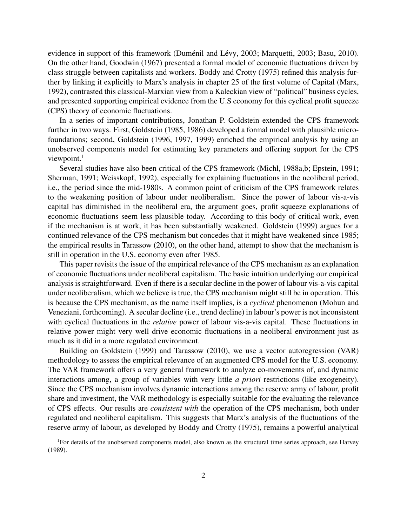evidence in support of this framework (Duménil and Lévy, 2003; Marquetti, 2003; Basu, 2010). On the other hand, Goodwin (1967) presented a formal model of economic fluctuations driven by class struggle between capitalists and workers. Boddy and Crotty (1975) refined this analysis further by linking it explicitly to Marx's analysis in chapter 25 of the first volume of Capital (Marx, 1992), contrasted this classical-Marxian view from a Kaleckian view of "political" business cycles, and presented supporting empirical evidence from the U.S economy for this cyclical profit squeeze (CPS) theory of economic fluctuations.

In a series of important contributions, Jonathan P. Goldstein extended the CPS framework further in two ways. First, Goldstein (1985, 1986) developed a formal model with plausible microfoundations; second, Goldstein (1996, 1997, 1999) enriched the empirical analysis by using an unobserved components model for estimating key parameters and offering support for the CPS viewpoint. $<sup>1</sup>$ </sup>

Several studies have also been critical of the CPS framework (Michl, 1988a,b; Epstein, 1991; Sherman, 1991; Weisskopf, 1992), especially for explaining fluctuations in the neoliberal period, i.e., the period since the mid-1980s. A common point of criticism of the CPS framework relates to the weakening position of labour under neoliberalism. Since the power of labour vis-a-vis capital has diminished in the neoliberal era, the argument goes, profit squeeze explanations of economic fluctuations seem less plausible today. According to this body of critical work, even if the mechanism is at work, it has been substantially weakened. Goldstein (1999) argues for a continued relevance of the CPS mechanism but concedes that it might have weakened since 1985; the empirical results in Tarassow (2010), on the other hand, attempt to show that the mechanism is still in operation in the U.S. economy even after 1985.

This paper revisits the issue of the empirical relevance of the CPS mechanism as an explanation of economic fluctuations under neoliberal capitalism. The basic intuition underlying our empirical analysis is straightforward. Even if there is a secular decline in the power of labour vis-a-vis capital under neoliberalism, which we believe is true, the CPS mechanism might still be in operation. This is because the CPS mechanism, as the name itself implies, is a *cyclical* phenomenon (Mohun and Veneziani, forthcoming). A secular decline (i.e., trend decline) in labour's power is not inconsistent with cyclical fluctuations in the *relative* power of labour vis-a-vis capital. These fluctuations in relative power might very well drive economic fluctuations in a neoliberal environment just as much as it did in a more regulated environment.

Building on Goldstein (1999) and Tarassow (2010), we use a vector autoregression (VAR) methodology to assess the empirical relevance of an augmented CPS model for the U.S. economy. The VAR framework offers a very general framework to analyze co-movements of, and dynamic interactions among, a group of variables with very little *a priori* restrictions (like exogeneity). Since the CPS mechanism involves dynamic interactions among the reserve army of labour, profit share and investment, the VAR methodology is especially suitable for the evaluating the relevance of CPS effects. Our results are *consistent with* the operation of the CPS mechanism, both under regulated and neoliberal capitalism. This suggests that Marx's analysis of the fluctuations of the reserve army of labour, as developed by Boddy and Crotty (1975), remains a powerful analytical

<sup>&</sup>lt;sup>1</sup>For details of the unobserved components model, also known as the structural time series approach, see Harvey (1989).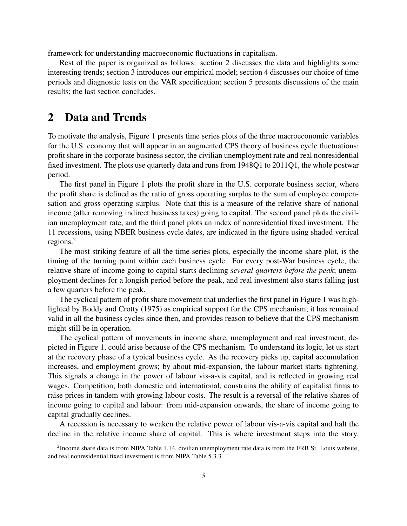framework for understanding macroeconomic fluctuations in capitalism.

Rest of the paper is organized as follows: section 2 discusses the data and highlights some interesting trends; section 3 introduces our empirical model; section 4 discusses our choice of time periods and diagnostic tests on the VAR specification; section 5 presents discussions of the main results; the last section concludes.

#### 2 Data and Trends

To motivate the analysis, Figure 1 presents time series plots of the three macroeconomic variables for the U.S. economy that will appear in an augmented CPS theory of business cycle fluctuations: profit share in the corporate business sector, the civilian unemployment rate and real nonresidential fixed investment. The plots use quarterly data and runs from 1948Q1 to 2011Q1, the whole postwar period.

The first panel in Figure 1 plots the profit share in the U.S. corporate business sector, where the profit share is defined as the ratio of gross operating surplus to the sum of employee compensation and gross operating surplus. Note that this is a measure of the relative share of national income (after removing indirect business taxes) going to capital. The second panel plots the civilian unemployment rate, and the third panel plots an index of nonresidential fixed investment. The 11 recessions, using NBER business cycle dates, are indicated in the figure using shaded vertical regions.<sup>2</sup>

The most striking feature of all the time series plots, especially the income share plot, is the timing of the turning point within each business cycle. For every post-War business cycle, the relative share of income going to capital starts declining *several quarters before the peak*; unemployment declines for a longish period before the peak, and real investment also starts falling just a few quarters before the peak.

The cyclical pattern of profit share movement that underlies the first panel in Figure 1 was highlighted by Boddy and Crotty (1975) as empirical support for the CPS mechanism; it has remained valid in all the business cycles since then, and provides reason to believe that the CPS mechanism might still be in operation.

The cyclical pattern of movements in income share, unemployment and real investment, depicted in Figure 1, could arise because of the CPS mechanism. To understand its logic, let us start at the recovery phase of a typical business cycle. As the recovery picks up, capital accumulation increases, and employment grows; by about mid-expansion, the labour market starts tightening. This signals a change in the power of labour vis-a-vis capital, and is reflected in growing real wages. Competition, both domestic and international, constrains the ability of capitalist firms to raise prices in tandem with growing labour costs. The result is a reversal of the relative shares of income going to capital and labour: from mid-expansion onwards, the share of income going to capital gradually declines.

A recession is necessary to weaken the relative power of labour vis-a-vis capital and halt the decline in the relative income share of capital. This is where investment steps into the story.

<sup>&</sup>lt;sup>2</sup>Income share data is from NIPA Table 1.14, civilian unemployment rate data is from the FRB St. Louis website, and real nonresidential fixed investment is from NIPA Table 5.3.3.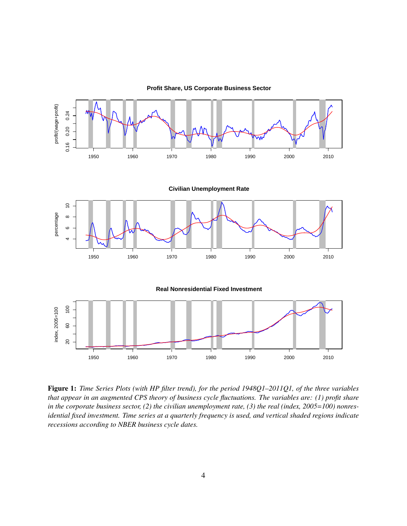

**Profit Share, US Corporate Business Sector**

Figure 1: *Time Series Plots (with HP filter trend), for the period 1948Q1–2011Q1, of the three variables that appear in an augmented CPS theory of business cycle fluctuations. The variables are: (1) profit share* in the corporate business sector, (2) the civilian unemployment rate, (3) the real (index, 2005=100) nonres*idential fixed investment. Time series at a quarterly frequency is used, and vertical shaded regions indicate recessions according to NBER business cycle dates.*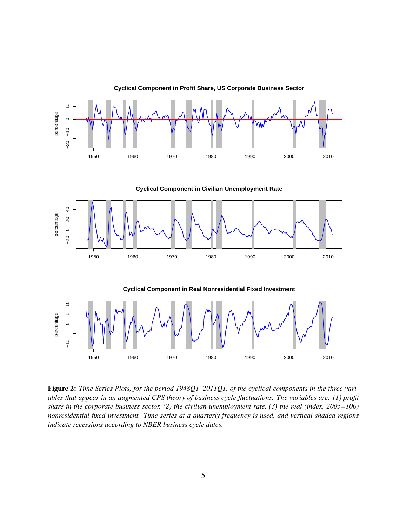

Figure 2: *Time Series Plots, for the period 1948Q1–2011Q1, of the cyclical components in the three variables that appear in an augmented CPS theory of business cycle fluctuations. The variables are: (1) profit share in the corporate business sector, (2) the civilian unemployment rate, (3) the real (index, 2005=100) nonresidential fixed investment. Time series at a quarterly frequency is used, and vertical shaded regions indicate recessions according to NBER business cycle dates.*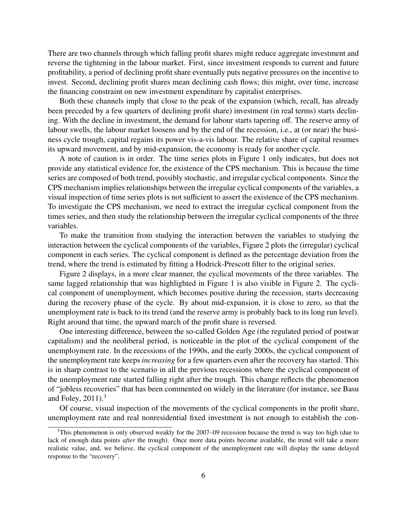There are two channels through which falling profit shares might reduce aggregate investment and reverse the tightening in the labour market. First, since investment responds to current and future profitability, a period of declining profit share eventually puts negative pressures on the incentive to invest. Second, declining profit shares mean declining cash flows; this might, over time, increase the financing constraint on new investment expenditure by capitalist enterprises.

Both these channels imply that close to the peak of the expansion (which, recall, has already been preceded by a few quarters of declining profit share) investment (in real terms) starts declining. With the decline in investment, the demand for labour starts tapering off. The reserve army of labour swells, the labour market loosens and by the end of the recession, i.e., at (or near) the business cycle trough, capital regains its power vis-a-vis labour. The relative share of capital resumes its upward movement, and by mid-expansion, the economy is ready for another cycle.

A note of caution is in order. The time series plots in Figure 1 only indicates, but does not provide any statistical evidence for, the existence of the CPS mechanism. This is because the time series are composed of both trend, possibly stochastic, and irregular cyclical components. Since the CPS mechanism implies relationships between the irregular cyclical components of the variables, a visual inspection of time series plots is not sufficient to assert the existence of the CPS mechanism. To investigate the CPS mechanism, we need to extract the irregular cyclical component from the times series, and then study the relationship between the irregular cyclical components of the three variables.

To make the transition from studying the interaction between the variables to studying the interaction between the cyclical components of the variables, Figure 2 plots the (irregular) cyclical component in each series. The cyclical component is defined as the percentage deviation from the trend, where the trend is estimated by fitting a Hodrick-Prescott filter to the original series.

Figure 2 displays, in a more clear manner, the cyclical movements of the three variables. The same lagged relationship that was highlighted in Figure 1 is also visible in Figure 2. The cyclical component of unemployment, which becomes positive during the recession, starts decreasing during the recovery phase of the cycle. By about mid-expansion, it is close to zero, so that the unemployment rate is back to its trend (and the reserve army is probably back to its long run level). Right around that time, the upward march of the profit share is reversed.

One interesting difference, between the so-called Golden Age (the regulated period of postwar capitalism) and the neoliberal period, is noticeable in the plot of the cyclical component of the unemployment rate. In the recessions of the 1990s, and the early 2000s, the cyclical component of the unemployment rate keeps *increasing* for a few quarters even after the recovery has started. This is in sharp contrast to the scenario in all the previous recessions where the cyclical component of the unemployment rate started falling right after the trough. This change reflects the phenomenon of "jobless recoveries" that has been commented on widely in the literature (for instance, see Basu and Foley,  $2011$ ).<sup>3</sup>

Of course, visual inspection of the movements of the cyclical components in the profit share, unemployment rate and real nonresidential fixed investment is not enough to establish the con-

 $3$ This phenomenon is only observed weakly for the 2007–09 recession because the trend is way too high (due to lack of enough data points *after* the trough). Once more data points become available, the trend will take a more realistic value, and, we believe, the cyclical component of the unemployment rate will display the same delayed response to the "recovery".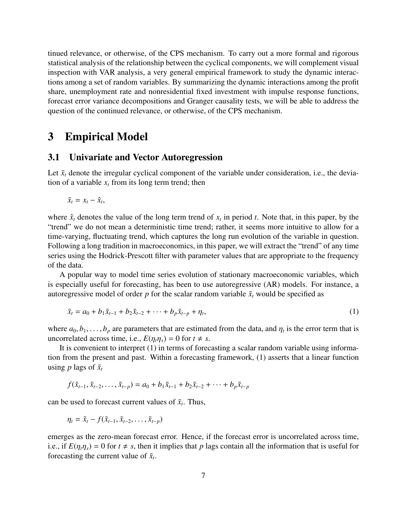tinued relevance, or otherwise, of the CPS mechanism. To carry out a more formal and rigorous statistical analysis of the relationship between the cyclical components, we will complement visual inspection with VAR analysis, a very general empirical framework to study the dynamic interactions among a set of random variables. By summarizing the dynamic interactions among the profit share, unemployment rate and nonresidential fixed investment with impulse response functions, forecast error variance decompositions and Granger causality tests, we will be able to address the question of the continued relevance, or otherwise, of the CPS mechanism.

#### 3 Empirical Model

#### 3.1 Univariate and Vector Autoregression

Let  $\tilde{x}_t$  denote the irregular cyclical component of the variable under consideration, i.e., the deviation of a variable  $x_t$  from its long term trend; then

$$
\tilde{x}_t = x_t - \hat{x}_t,
$$

where  $\hat{x}_t$  denotes the value of the long term trend of  $x_t$  in period *t*. Note that, in this paper, by the "trend" we do not mean a deterministic time trend; rather, it seems more intuitive to allow for a time-varying, fluctuating trend, which captures the long run evolution of the variable in question. Following a long tradition in macroeconomics, in this paper, we will extract the "trend" of any time series using the Hodrick-Prescott filter with parameter values that are appropriate to the frequency of the data.

A popular way to model time series evolution of stationary macroeconomic variables, which is especially useful for forecasting, has been to use autoregressive (AR) models. For instance, a autoregressive model of order  $p$  for the scalar random variable  $\tilde{x}_t$  would be specified as

$$
\tilde{x}_t = a_0 + b_1 \tilde{x}_{t-1} + b_2 \tilde{x}_{t-2} + \dots + b_p \tilde{x}_{t-p} + \eta_t,
$$
\n(1)

where  $a_0, b_1, \ldots, b_p$  are parameters that are estimated from the data, and  $\eta_t$  is the error term that is uncorrelated across time i.e.  $F(n, n) = 0$  for  $t \neq s$ uncorrelated across time, i.e.,  $E(\eta_t \eta_s) = 0$  for  $t \neq s$ .

It is convenient to interpret (1) in terms of forecasting a scalar random variable using information from the present and past. Within a forecasting framework, (1) asserts that a linear function using *p* lags of  $\tilde{x}_t$ 

$$
f(\tilde{x}_{t-1}, \tilde{x}_{t-2}, \ldots, \tilde{x}_{t-p}) = a_0 + b_1 \tilde{x}_{t-1} + b_2 \tilde{x}_{t-2} + \cdots + b_p \tilde{x}_{t-p}
$$

can be used to forecast current values of  $\tilde{x}_t$ . Thus,

$$
\eta_t = \tilde{x}_t - f(\tilde{x}_{t-1}, \tilde{x}_{t-2}, \ldots, \tilde{x}_{t-p})
$$

emerges as the zero-mean forecast error. Hence, if the forecast error is uncorrelated across time, i.e., if  $E(\eta_t \eta_s) = 0$  for  $t \neq s$ , then it implies that p lags contain all the information that is useful for forecasting the current value of  $\tilde{x}_t$ .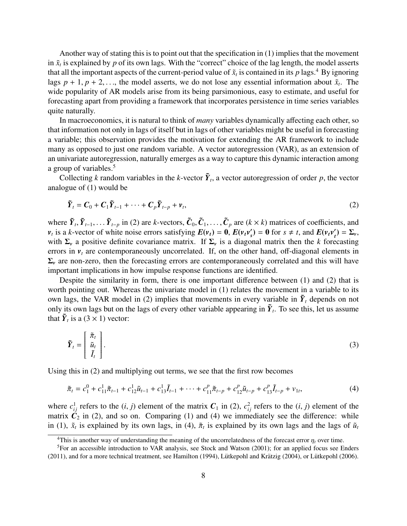Another way of stating this is to point out that the specification in (1) implies that the movement in  $\tilde{x}_t$  is explained by  $p$  of its own lags. With the "correct" choice of the lag length, the model asserts that all the important aspects of the current-period value of  $\tilde{x}_t$  is contained in its p lags.<sup>4</sup> By ignoring lags  $p + 1$ ,  $p + 2$ ,..., the model asserts, we do not lose any essential information about  $\tilde{x}_t$ . The wide popularity of AR models arise from its being parsimonious, easy to estimate, and useful for wide popularity of AR models arise from its being parsimonious, easy to estimate, and useful for forecasting apart from providing a framework that incorporates persistence in time series variables quite naturally.

In macroeconomics, it is natural to think of *many* variables dynamically affecting each other, so that information not only in lags of itself but in lags of other variables might be useful in forecasting a variable; this observation provides the motivation for extending the AR framework to include many as opposed to just one random variable. A vector autoregression (VAR), as an extension of an univariate autoregression, naturally emerges as a way to capture this dynamic interaction among a group of variables.<sup>5</sup>

Collecting *k* random variables in the *k*-vector  $\tilde{Y}_t$ , a vector autoregression of order *p*, the vector analogue of (1) would be

$$
\tilde{\boldsymbol{Y}}_t = \boldsymbol{C}_0 + \boldsymbol{C}_1 \tilde{\boldsymbol{Y}}_{t-1} + \dots + \boldsymbol{C}_p \tilde{\boldsymbol{Y}}_{t-p} + \boldsymbol{v}_t,
$$
\n(2)

where  $\tilde{Y}_t, \tilde{Y}_{t-1}, \dots, \tilde{Y}_{t-p}$  in (2) are *k*-vectors,  $\tilde{C}_0, \tilde{C}_1, \dots, \tilde{C}_p$  are  $(k \times k)$  matrices of coefficients, and  $\tilde{V}_t, \tilde{Y}_{t-1}$  is a *k*-vector of white poise errors satisfying  $F(y, y) = 0$ ,  $F(y, y$  $v_t$  is a *k*-vector of white noise errors satisfying  $E(v_t) = 0$ ,  $E(v_t v_s)$  $S(s) = \mathbf{0}$  for  $s \neq t$ , and  $E(\nu_t \nu_t') = \Sigma_{\nu}$ , *t*<sup>1</sup> is a *k* recent of while here effects samelying  $E(r_i)$  or  $E(r_i r_s)$  or for s  $\rightarrow$  i, and  $E(r_i r_i) = r_i$ , with  $\Sigma_{\nu}$  a positive definite covariance matrix. If  $\Sigma_{\nu}$  is a diagonal matrix then the *k* forecasting errors in  $v_t$  are contemporaneously uncorrelated. If, on the other hand, off-diagonal elements in  $\Sigma$ <sub>*v*</sub> are non-zero, then the forecasting errors are contemporaneously correlated and this will have important implications in how impulse response functions are identified.

Despite the similarity in form, there is one important difference between (1) and (2) that is worth pointing out. Whereas the univariate model in (1) relates the movement in a variable to its own lags, the VAR model in (2) implies that movements in every variable in  $\tilde{Y}_t$  depends on not only its own lags but on the lags of every other variable appearing in  $\tilde{Y}_t$ . To see this, let us assume that  $\tilde{Y}_t$  is a (3  $\times$  1) vector:

$$
\tilde{\boldsymbol{Y}}_t = \begin{bmatrix} \tilde{\pi}_t \\ \tilde{u}_t \\ \tilde{I}_t \end{bmatrix} . \tag{3}
$$

Using this in (2) and multiplying out terms, we see that the first row becomes

$$
\tilde{\pi}_t = c_1^0 + c_{11}^1 \tilde{\pi}_{t-1} + c_{12}^1 \tilde{u}_{t-1} + c_{13}^1 \tilde{I}_{t-1} + \dots + c_{11}^p \tilde{\pi}_{t-p} + c_{12}^p \tilde{u}_{t-p} + c_{13}^p \tilde{I}_{t-p} + v_{1t},\tag{4}
$$

where  $c_{ij}^1$  refers to the  $(i, j)$  element of the matrix  $C_1$  in (2),  $c_{ij}^2$  refers to the  $(i, j)$  element of the matrix  $C_2$  in (2) and so on Comparing (1) and (4) we immediately see the difference; while matrix  $\dot{C}_2$  in (2), and so on. Comparing (1) and (4) we immediately see the difference: while in (1),  $\tilde{x}_t$  is explained by its own lags, in (4),  $\tilde{\pi}_t$  is explained by its own lags and the lags of  $\tilde{u}_t$ 

<sup>&</sup>lt;sup>4</sup>This is another way of understanding the meaning of the uncorrelatedness of the forecast error  $\eta_t$  over time.

<sup>5</sup>For an accessible introduction to VAR analysis, see Stock and Watson (2001); for an applied focus see Enders  $(2011)$ , and for a more technical treatment, see Hamilton (1994), Lütkepohl and Krätzig (2004), or Lütkepohl (2006).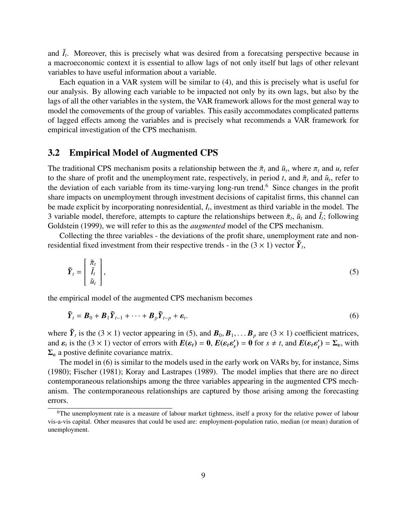and  $\tilde{I}_t$ . Moreover, this is precisely what was desired from a forecatsing perspective because in a macroeconomic context it is essential to allow lags of not only itself but lags of other relevant variables to have useful information about a variable.

Each equation in a VAR system will be similar to (4), and this is precisely what is useful for our analysis. By allowing each variable to be impacted not only by its own lags, but also by the lags of all the other variables in the system, the VAR framework allows for the most general way to model the comovements of the group of variables. This easily accommodates complicated patterns of lagged effects among the variables and is precisely what recommends a VAR framework for empirical investigation of the CPS mechanism.

#### 3.2 Empirical Model of Augmented CPS

The traditional CPS mechanism posits a relationship between the  $\tilde{\pi}_t$  and  $\tilde{u}_t$ , where  $\pi_t$  and  $u_t$  refer to the share of profit and the unemployment rate, respectively in period t, and  $\tilde{\pi}$  and  $\tilde{u}_t$  re to the share of profit and the unemployment rate, respectively, in period *t*, and  $\tilde{\pi}_t$  and  $\tilde{u}_t$ , refer to the deviation of each variable from its time-varying long-run trend <sup>6</sup>. Since changes in the profit the deviation of each variable from its time-varying long-run trend.<sup>6</sup> Since changes in the profit share impacts on unemployment through investment decisions of capitalist firms, this channel can be made explicit by incorporating nonresidential, *I<sup>t</sup>* , investment as third variable in the model. The 3 variable model, therefore, attempts to capture the relationships between  $\tilde{\pi}_t$ ,  $\tilde{u}_t$  and  $\tilde{I}_t$ ; following Goldstein (1999), we will refer to this as the *quamented* model of the CPS mechanism Goldstein (1999), we will refer to this as the *augmented* model of the CPS mechanism.

Collecting the three variables - the deviations of the profit share, unemployment rate and nonresidential fixed investment from their respective trends - in the  $(3 \times 1)$  vector  $\tilde{Y}_t$ ,

$$
\tilde{Y}_t = \begin{bmatrix} \tilde{\pi}_t \\ \tilde{I}_t \\ \tilde{u}_t \end{bmatrix},\tag{5}
$$

the empirical model of the augmented CPS mechanism becomes

$$
\tilde{Y}_t = \boldsymbol{B}_0 + \boldsymbol{B}_1 \tilde{Y}_{t-1} + \dots + \boldsymbol{B}_p \tilde{Y}_{t-p} + \boldsymbol{\varepsilon}_t.
$$
\n
$$
\tag{6}
$$

where  $\tilde{Y}_t$  is the (3 × 1) vector appearing in (5), and  $B_0, B_1, \ldots, B_p$  are (3 × 1) coefficient matrices, and  $\mathbf{s}$  is the (3 × 1) vector of errors with  $F(\mathbf{s}_t) = 0$ ,  $F(\mathbf{s}_t, \mathbf{s}') = 0$  for  $\mathbf{s} \neq t$  and  $F(\mathbf{s}_$ and  $\varepsilon_t$  is the (3 × 1) vector of errors with  $E(\varepsilon_t) = 0$ ,  $E(\varepsilon_t \varepsilon_s)$ <br>  $\Sigma_{\text{L}}$  a postive definite covariance matrix  $S(s) = \mathbf{0}$  for  $s \neq t$ , and  $E(\varepsilon_t \varepsilon_t)$  $t'$ ) =  $\Sigma_{\varepsilon}$ , with  $\Sigma_{\epsilon}$  a postive definite covariance matrix.

The model in (6) is similar to the models used in the early work on VARs by, for instance, Sims (1980); Fischer (1981); Koray and Lastrapes (1989). The model implies that there are no direct contemporaneous relationships among the three variables appearing in the augmented CPS mechanism. The contemporaneous relationships are captured by those arising among the forecasting errors.

<sup>&</sup>lt;sup>6</sup>The unemployment rate is a measure of labour market tightness, itself a proxy for the relative power of labour vis-a-vis capital. Other measures that could be used are: employment-population ratio, median (or mean) duration of unemployment.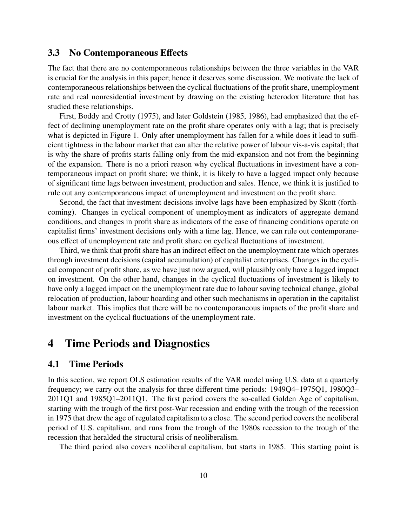#### 3.3 No Contemporaneous Effects

The fact that there are no contemporaneous relationships between the three variables in the VAR is crucial for the analysis in this paper; hence it deserves some discussion. We motivate the lack of contemporaneous relationships between the cyclical fluctuations of the profit share, unemployment rate and real nonresidential investment by drawing on the existing heterodox literature that has studied these relationships.

First, Boddy and Crotty (1975), and later Goldstein (1985, 1986), had emphasized that the effect of declining unemployment rate on the profit share operates only with a lag; that is precisely what is depicted in Figure 1. Only after unemployment has fallen for a while does it lead to sufficient tightness in the labour market that can alter the relative power of labour vis-a-vis capital; that is why the share of profits starts falling only from the mid-expansion and not from the beginning of the expansion. There is no a priori reason why cyclical fluctuations in investment have a contemporaneous impact on profit share; we think, it is likely to have a lagged impact only because of significant time lags between investment, production and sales. Hence, we think it is justified to rule out any contemporaneous impact of unemployment and investment on the profit share.

Second, the fact that investment decisions involve lags have been emphasized by Skott (forthcoming). Changes in cyclical component of unemployment as indicators of aggregate demand conditions, and changes in profit share as indicators of the ease of financing conditions operate on capitalist firms' investment decisions only with a time lag. Hence, we can rule out contemporaneous effect of unemployment rate and profit share on cyclical fluctuations of investment.

Third, we think that profit share has an indirect effect on the unemployment rate which operates through investment decisions (capital accumulation) of capitalist enterprises. Changes in the cyclical component of profit share, as we have just now argued, will plausibly only have a lagged impact on investment. On the other hand, changes in the cyclical fluctuations of investment is likely to have only a lagged impact on the unemployment rate due to labour saving technical change, global relocation of production, labour hoarding and other such mechanisms in operation in the capitalist labour market. This implies that there will be no contemporaneous impacts of the profit share and investment on the cyclical fluctuations of the unemployment rate.

#### 4 Time Periods and Diagnostics

#### 4.1 Time Periods

In this section, we report OLS estimation results of the VAR model using U.S. data at a quarterly frequency; we carry out the analysis for three different time periods: 1949Q4–1975Q1, 1980Q3– 2011Q1 and 1985Q1–2011Q1. The first period covers the so-called Golden Age of capitalism, starting with the trough of the first post-War recession and ending with the trough of the recession in 1975 that drew the age of regulated capitalism to a close. The second period covers the neoliberal period of U.S. capitalism, and runs from the trough of the 1980s recession to the trough of the recession that heralded the structural crisis of neoliberalism.

The third period also covers neoliberal capitalism, but starts in 1985. This starting point is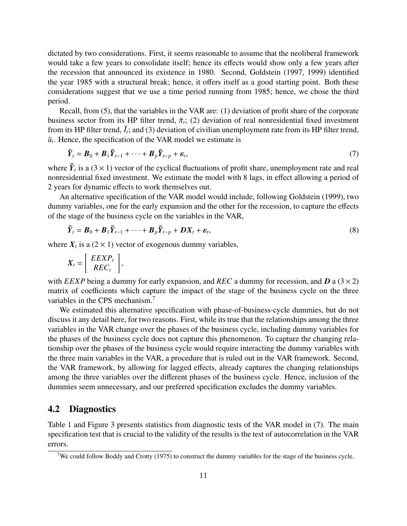dictated by two considerations. First, it seems reasonable to assume that the neoliberal framework would take a few years to consolidate itself; hence its effects would show only a few years after the recession that announced its existence in 1980. Second, Goldstein (1997, 1999) identified the year 1985 with a structural break; hence, it offers itself as a good starting point. Both these considerations suggest that we use a time period running from 1985; hence, we chose the third period.

Recall, from (5), that the variables in the VAR are: (1) deviation of profit share of the corporate business sector from its HP filter trend,  $\tilde{\pi}_t$ ; (2) deviation of real nonresidential fixed investment<br>from its HP filter trend,  $\tilde{l}$ : and (3) deviation of civilian unemployment rate from its HP filter trend from its HP filter trend,  $\tilde{I}_t$ ; and (3) deviation of civilian unemployment rate from its HP filter trend,  $\tilde{u}_t$ . Hence, the specification of the VAR model we estimate is

$$
\tilde{\boldsymbol{Y}}_t = \boldsymbol{B}_0 + \boldsymbol{B}_1 \tilde{\boldsymbol{Y}}_{t-1} + \dots + \boldsymbol{B}_p \tilde{\boldsymbol{Y}}_{t-p} + \boldsymbol{\varepsilon}_t, \tag{7}
$$

where  $\tilde{Y}_t$  is a (3  $\times$  1) vector of the cyclical fluctuations of profit share, unemployment rate and real nonresidential fixed investment. We estimate the model with 8 lags, in effect allowing a period of 2 years for dynamic effects to work themselves out.

An alternative specification of the VAR model would include, following Goldstein (1999), two dummy variables, one for the early expansion and the other for the recession, to capture the effects of the stage of the business cycle on the variables in the VAR,

$$
\tilde{\boldsymbol{Y}}_t = \boldsymbol{B}_0 + \boldsymbol{B}_1 \tilde{\boldsymbol{Y}}_{t-1} + \dots + \boldsymbol{B}_p \tilde{\boldsymbol{Y}}_{t-p} + \boldsymbol{D} \boldsymbol{X}_t + \boldsymbol{\varepsilon}_t, \tag{8}
$$

where  $X_t$  is a (2  $\times$  1) vector of exogenous dummy variables,

$$
X_t = \left[ \begin{array}{c} EEXP_t \\ REC_t \end{array} \right],
$$

with *EEXP* being a dummy for early expansion, and *REC* a dummy for recession, and **D** a ( $3 \times 2$ ) matrix of coefficients which capture the impact of the stage of the business cycle on the three variables in the CPS mechanism.<sup>7</sup>

We estimated this alternative specification with phase-of-business-cycle dummies, but do not discuss it any detail here, for two reasons. First, while its true that the relationships among the three variables in the VAR change over the phases of the business cycle, including dummy variables for the phases of the business cycle does not capture this phenomenon. To capture the changing relationship over the phases of the business cycle would require interacting the dummy variables with the three main variables in the VAR, a procedure that is ruled out in the VAR framework. Second, the VAR framework, by allowing for lagged effects, already captures the changing relationships among the three variables over the different phases of the business cycle. Hence, inclusion of the dummies seem unnecessary, and our preferred specification excludes the dummy variables.

#### 4.2 Diagnostics

Table 1 and Figure 3 presents statistics from diagnostic tests of the VAR model in (7). The main specification test that is crucial to the validity of the results is the test of autocorrelation in the VAR errors.

<sup>&</sup>lt;sup>7</sup>We could follow Boddy and Crotty (1975) to construct the dummy variables for the stage of the business cycle.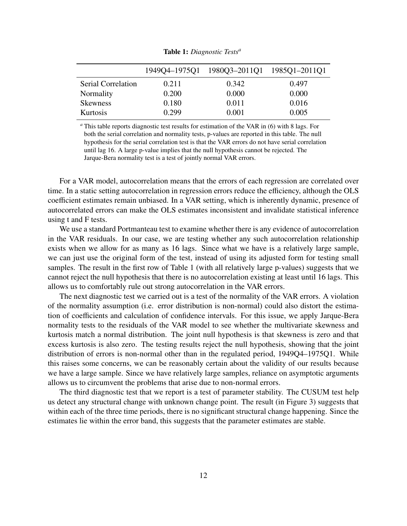|                    |       | 1949Q4-1975Q1 1980Q3-2011Q1 1985Q1-2011Q1 |       |
|--------------------|-------|-------------------------------------------|-------|
| Serial Correlation | 0.211 | 0.342                                     | 0.497 |
| Normality          | 0.200 | 0.000                                     | 0.000 |
| <b>Skewness</b>    | 0.180 | 0.011                                     | 0.016 |
| Kurtosis           | 0.299 | 0.001                                     | 0.005 |

Table 1: *Diagnostic Tests<sup>a</sup>*

*<sup>a</sup>* This table reports diagnostic test results for estimation of the VAR in (6) with 8 lags. For both the serial correlation and normality tests, p-values are reported in this table. The null hypothesis for the serial correlation test is that the VAR errors do not have serial correlation until lag 16. A large p-value implies that the null hypothesis cannot be rejected. The Jarque-Bera normality test is a test of jointly normal VAR errors.

For a VAR model, autocorrelation means that the errors of each regression are correlated over time. In a static setting autocorrelation in regression errors reduce the efficiency, although the OLS coefficient estimates remain unbiased. In a VAR setting, which is inherently dynamic, presence of autocorrelated errors can make the OLS estimates inconsistent and invalidate statistical inference using t and F tests.

We use a standard Portmanteau test to examine whether there is any evidence of autocorrelation in the VAR residuals. In our case, we are testing whether any such autocorrelation relationship exists when we allow for as many as 16 lags. Since what we have is a relatively large sample, we can just use the original form of the test, instead of using its adjusted form for testing small samples. The result in the first row of Table 1 (with all relatively large p-values) suggests that we cannot reject the null hypothesis that there is no autocorrelation existing at least until 16 lags. This allows us to comfortably rule out strong autocorrelation in the VAR errors.

The next diagnostic test we carried out is a test of the normality of the VAR errors. A violation of the normality assumption (i.e. error distribution is non-normal) could also distort the estimation of coefficients and calculation of confidence intervals. For this issue, we apply Jarque-Bera normality tests to the residuals of the VAR model to see whether the multivariate skewness and kurtosis match a normal distribution. The joint null hypothesis is that skewness is zero and that excess kurtosis is also zero. The testing results reject the null hypothesis, showing that the joint distribution of errors is non-normal other than in the regulated period, 1949Q4–1975Q1. While this raises some concerns, we can be reasonably certain about the validity of our results because we have a large sample. Since we have relatively large samples, reliance on asymptotic arguments allows us to circumvent the problems that arise due to non-normal errors.

The third diagnostic test that we report is a test of parameter stability. The CUSUM test help us detect any structural change with unknown change point. The result (in Figure 3) suggests that within each of the three time periods, there is no significant structural change happening. Since the estimates lie within the error band, this suggests that the parameter estimates are stable.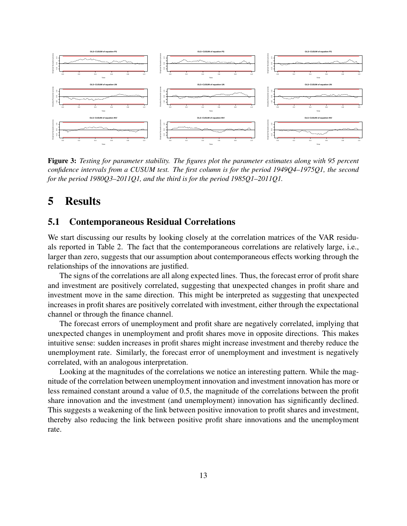

Figure 3: *Testing for parameter stability. The figures plot the parameter estimates along with 95 percent confidence intervals from a CUSUM test. The first column is for the period 1949Q4–1975Q1, the second for the period 1980Q3–2011Q1, and the third is for the period 1985Q1–2011Q1.*

#### 5 Results

#### 5.1 Contemporaneous Residual Correlations

We start discussing our results by looking closely at the correlation matrices of the VAR residuals reported in Table 2. The fact that the contemporaneous correlations are relatively large, i.e., larger than zero, suggests that our assumption about contemporaneous effects working through the relationships of the innovations are justified.

The signs of the correlations are all along expected lines. Thus, the forecast error of profit share and investment are positively correlated, suggesting that unexpected changes in profit share and investment move in the same direction. This might be interpreted as suggesting that unexpected increases in profit shares are positively correlated with investment, either through the expectational channel or through the finance channel.

The forecast errors of unemployment and profit share are negatively correlated, implying that unexpected changes in unemployment and profit shares move in opposite directions. This makes intuitive sense: sudden increases in profit shares might increase investment and thereby reduce the unemployment rate. Similarly, the forecast error of unemployment and investment is negatively correlated, with an analogous interpretation.

Looking at the magnitudes of the correlations we notice an interesting pattern. While the magnitude of the correlation between unemployment innovation and investment innovation has more or less remained constant around a value of 0.5, the magnitude of the correlations between the profit share innovation and the investment (and unemployment) innovation has significantly declined. This suggests a weakening of the link between positive innovation to profit shares and investment, thereby also reducing the link between positive profit share innovations and the unemployment rate.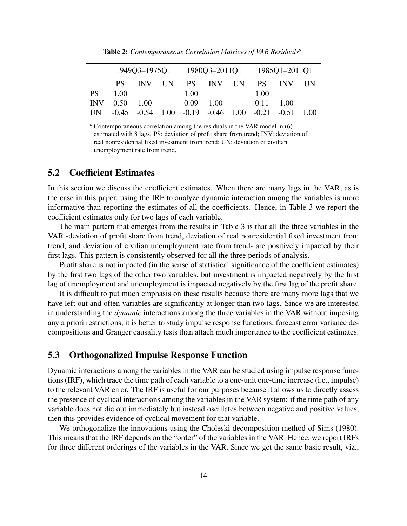|           |                 |                |  | 1949Q3-1975Q1 1980Q3-2011Q1 1985Q1-2011Q1 |                                       |  |                   |           |  |
|-----------|-----------------|----------------|--|-------------------------------------------|---------------------------------------|--|-------------------|-----------|--|
|           | PS.             | INV IIN        |  |                                           | PS INV UN                             |  |                   | PS INV UN |  |
| <b>PS</b> | 1.00            |                |  | 1.00                                      |                                       |  | 1.00              |           |  |
|           | $INV$ 0.50 1.00 |                |  | $0.09 - 1.00$                             |                                       |  | $0.11 \quad 1.00$ |           |  |
| UN.       |                 | $-0.45 - 0.54$ |  |                                           | $1.00 -0.19 -0.46$ $1.00 -0.21 -0.51$ |  |                   |           |  |

Table 2: *Contemporaneous Correlation Matrices of VAR Residuals<sup>a</sup>*

*<sup>a</sup>* Contemporaneous correlation among the residuals in the VAR model in (6) estimated with 8 lags. PS: deviation of profit share from trend; INV: deviation of real nonresidential fixed investment from trend; UN: deviation of civilian unemployment rate from trend.

#### 5.2 Coefficient Estimates

In this section we discuss the coefficient estimates. When there are many lags in the VAR, as is the case in this paper, using the IRF to analyze dynamic interaction among the variables is more informative than reporting the estimates of all the coefficients. Hence, in Table 3 we report the coefficient estimates only for two lags of each variable.

The main pattern that emerges from the results in Table 3 is that all the three variables in the VAR -deviation of profit share from trend, deviation of real nonresidential fixed investment from trend, and deviation of civilian unemployment rate from trend- are positively impacted by their first lags. This pattern is consistently observed for all the three periods of analysis.

Profit share is not impacted (in the sense of statistical significance of the coefficient estimates) by the first two lags of the other two variables, but investment is impacted negatively by the first lag of unemployment and unemployment is impacted negatively by the first lag of the profit share.

It is difficult to put much emphasis on these results because there are many more lags that we have left out and often variables are significantly at longer than two lags. Since we are interested in understanding the *dynamic* interactions among the three variables in the VAR without imposing any a priori restrictions, it is better to study impulse response functions, forecast error variance decompositions and Granger causality tests than attach much importance to the coefficient estimates.

#### 5.3 Orthogonalized Impulse Response Function

Dynamic interactions among the variables in the VAR can be studied using impulse response functions (IRF), which trace the time path of each variable to a one-unit one-time increase (i.e., impulse) to the relevant VAR error. The IRF is useful for our purposes because it allows us to directly assess the presence of cyclical interactions among the variables in the VAR system: if the time path of any variable does not die out immediately but instead oscillates between negative and positive values, then this provides evidence of cyclical movement for that variable.

We orthogonalize the innovations using the Choleski decomposition method of Sims (1980). This means that the IRF depends on the "order" of the variables in the VAR. Hence, we report IRFs for three different orderings of the variables in the VAR. Since we get the same basic result, viz.,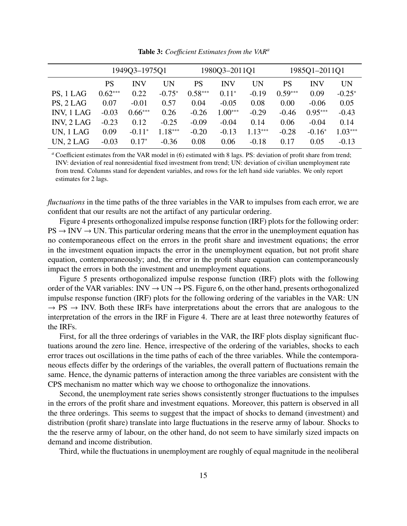|                   | 1949Q3-1975Q1 |            |           |           | 1980Q3-2011Q1 |           | 1985Q1-2011Q1 |            |           |
|-------------------|---------------|------------|-----------|-----------|---------------|-----------|---------------|------------|-----------|
|                   | PS            | <b>INV</b> | <b>UN</b> | PS        | <b>INV</b>    | UN        | PS            | <b>INV</b> | <b>UN</b> |
| PS, 1 LAG         | $0.62***$     | 0.22       | $-0.75*$  | $0.58***$ | $0.11*$       | $-0.19$   | $0.59***$     | 0.09       | $-0.25*$  |
| PS, 2 LAG         | 0.07          | $-0.01$    | 0.57      | 0.04      | $-0.05$       | 0.08      | 0.00          | $-0.06$    | 0.05      |
| <b>INV, 1 LAG</b> | $-0.03$       | $0.66***$  | 0.26      | $-0.26$   | $1.00***$     | $-0.29$   | $-0.46$       | $0.95***$  | $-0.43$   |
| INV, 2 LAG        | $-0.23$       | 0.12       | $-0.25$   | $-0.09$   | $-0.04$       | 0.14      | 0.06          | $-0.04$    | 0.14      |
| UN, 1 LAG         | 0.09          | $-0.11*$   | 1.18***   | $-0.20$   | $-0.13$       | $1.13***$ | $-0.28$       | $-0.16*$   | $1.03***$ |
| UN, 2 LAG         | $-0.03$       | $0.17^*$   | $-0.36$   | 0.08      | 0.06          | $-0.18$   | 0.17          | 0.05       | $-0.13$   |

Table 3: *Coe*ffi*cient Estimates from the VAR<sup>a</sup>*

*<sup>a</sup>* Coefficient estimates from the VAR model in (6) estimated with 8 lags. PS: deviation of profit share from trend; INV: deviation of real nonresidential fixed investment from trend; UN: deviation of civilian unemployment rate from trend. Columns stand for dependent variables, and rows for the left hand side variables. We only report estimates for 2 lags.

*fluctuations* in the time paths of the three variables in the VAR to impulses from each error, we are confident that our results are not the artifact of any particular ordering.

Figure 4 presents orthogonalized impulse response function (IRF) plots for the following order:  $PS \rightarrow INV \rightarrow UN$ . This particular ordering means that the error in the unemployment equation has no contemporaneous effect on the errors in the profit share and investment equations; the error in the investment equation impacts the error in the unemployment equation, but not profit share equation, contemporaneously; and, the error in the profit share equation can contemporaneously impact the errors in both the investment and unemployment equations.

Figure 5 presents orthogonalized impulse response function (IRF) plots with the following order of the VAR variables:  $INV \rightarrow UN \rightarrow PS$ . Figure 6, on the other hand, presents orthogonalized impulse response function (IRF) plots for the following ordering of the variables in the VAR: UN  $\rightarrow$  PS  $\rightarrow$  INV. Both these IRFs have interpretations about the errors that are analogous to the interpretation of the errors in the IRF in Figure 4. There are at least three noteworthy features of the IRFs.

First, for all the three orderings of variables in the VAR, the IRF plots display significant fluctuations around the zero line. Hence, irrespective of the ordering of the variables, shocks to each error traces out oscillations in the time paths of each of the three variables. While the contemporaneous effects differ by the orderings of the variables, the overall pattern of fluctuations remain the same. Hence, the dynamic patterns of interaction among the three variables are consistent with the CPS mechanism no matter which way we choose to orthogonalize the innovations.

Second, the unemployment rate series shows consistently stronger fluctuations to the impulses in the errors of the profit share and investment equations. Moreover, this pattern is observed in all the three orderings. This seems to suggest that the impact of shocks to demand (investment) and distribution (profit share) translate into large fluctuations in the reserve army of labour. Shocks to the the reserve army of labour, on the other hand, do not seem to have similarly sized impacts on demand and income distribution.

Third, while the fluctuations in unemployment are roughly of equal magnitude in the neoliberal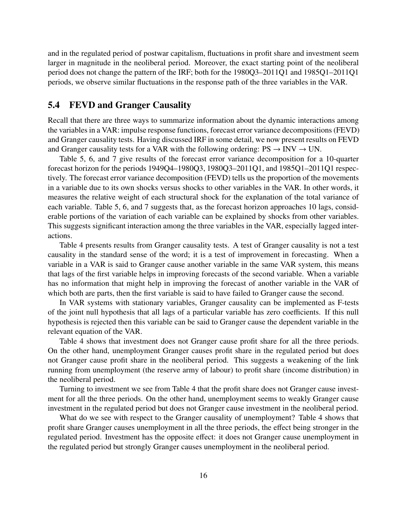and in the regulated period of postwar capitalism, fluctuations in profit share and investment seem larger in magnitude in the neoliberal period. Moreover, the exact starting point of the neoliberal period does not change the pattern of the IRF; both for the 1980Q3–2011Q1 and 1985Q1–2011Q1 periods, we observe similar fluctuations in the response path of the three variables in the VAR.

#### 5.4 FEVD and Granger Causality

Recall that there are three ways to summarize information about the dynamic interactions among the variables in a VAR: impulse response functions, forecast error variance decompositions (FEVD) and Granger causality tests. Having discussed IRF in some detail, we now present results on FEVD and Granger causality tests for a VAR with the following ordering:  $PS \rightarrow INV \rightarrow UN$ .

Table 5, 6, and 7 give results of the forecast error variance decomposition for a 10-quarter forecast horizon for the periods 1949Q4–1980Q3, 1980Q3–2011Q1, and 1985Q1–2011Q1 respectively. The forecast error variance decomposition (FEVD) tells us the proportion of the movements in a variable due to its own shocks versus shocks to other variables in the VAR. In other words, it measures the relative weight of each structural shock for the explanation of the total variance of each variable. Table 5, 6, and 7 suggests that, as the forecast horizon approaches 10 lags, considerable portions of the variation of each variable can be explained by shocks from other variables. This suggests significant interaction among the three variables in the VAR, especially lagged interactions.

Table 4 presents results from Granger causality tests. A test of Granger causality is not a test causality in the standard sense of the word; it is a test of improvement in forecasting. When a variable in a VAR is said to Granger cause another variable in the same VAR system, this means that lags of the first variable helps in improving forecasts of the second variable. When a variable has no information that might help in improving the forecast of another variable in the VAR of which both are parts, then the first variable is said to have failed to Granger cause the second.

In VAR systems with stationary variables, Granger causality can be implemented as F-tests of the joint null hypothesis that all lags of a particular variable has zero coefficients. If this null hypothesis is rejected then this variable can be said to Granger cause the dependent variable in the relevant equation of the VAR.

Table 4 shows that investment does not Granger cause profit share for all the three periods. On the other hand, unemployment Granger causes profit share in the regulated period but does not Granger cause profit share in the neoliberal period. This suggests a weakening of the link running from unemployment (the reserve army of labour) to profit share (income distribution) in the neoliberal period.

Turning to investment we see from Table 4 that the profit share does not Granger cause investment for all the three periods. On the other hand, unemployment seems to weakly Granger cause investment in the regulated period but does not Granger cause investment in the neoliberal period.

What do we see with respect to the Granger causality of unemployment? Table 4 shows that profit share Granger causes unemployment in all the three periods, the effect being stronger in the regulated period. Investment has the opposite effect: it does not Granger cause unemployment in the regulated period but strongly Granger causes unemployment in the neoliberal period.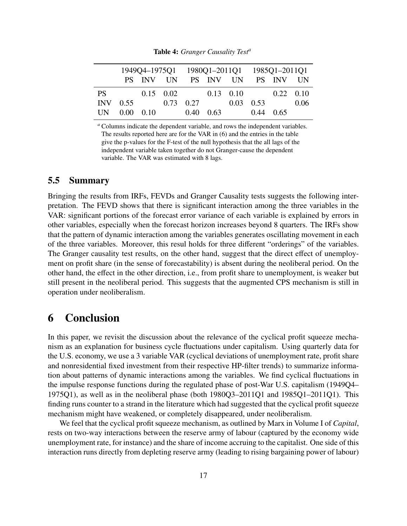|      |              |  |                   | 1949Q4-1975Q1 1980Q1-2011Q1 1985Q1-2011Q1 |                   |  |                   |                               |      |
|------|--------------|--|-------------------|-------------------------------------------|-------------------|--|-------------------|-------------------------------|------|
|      |              |  |                   |                                           |                   |  |                   | PS INV UN PS INV UN PS INV UN |      |
| PS — |              |  | $0.15 \quad 0.02$ |                                           | $0.13 \quad 0.10$ |  |                   | $0.22 \quad 0.10$             |      |
|      | $INV$ 0.55   |  |                   | 0.73 0.27                                 |                   |  | $0.03 \quad 0.53$ |                               | 0.06 |
|      | UN 0.00 0.10 |  |                   |                                           | 0.40 0.63         |  | $0.44$ 0.65       |                               |      |

Table 4: *Granger Causality Test<sup>a</sup>*

*<sup>a</sup>* Columns indicate the dependent variable, and rows the independent variables. The results reported here are for the VAR in (6) and the entries in the table give the p-values for the F-test of the null hypothesis that the all lags of the independent variable taken together do not Granger-cause the dependent variable. The VAR was estimated with 8 lags.

#### 5.5 Summary

Bringing the results from IRFs, FEVDs and Granger Causality tests suggests the following interpretation. The FEVD shows that there is significant interaction among the three variables in the VAR: significant portions of the forecast error variance of each variable is explained by errors in other variables, especially when the forecast horizon increases beyond 8 quarters. The IRFs show that the pattern of dynamic interaction among the variables generates oscillating movement in each of the three variables. Moreover, this resul holds for three different "orderings" of the variables. The Granger causality test results, on the other hand, suggest that the direct effect of unemployment on profit share (in the sense of forecastability) is absent during the neoliberal period. On the other hand, the effect in the other direction, i.e., from profit share to unemployment, is weaker but still present in the neoliberal period. This suggests that the augmented CPS mechanism is still in operation under neoliberalism.

#### 6 Conclusion

In this paper, we revisit the discussion about the relevance of the cyclical profit squeeze mechanism as an explanation for business cycle fluctuations under capitalism. Using quarterly data for the U.S. economy, we use a 3 variable VAR (cyclical deviations of unemployment rate, profit share and nonresidential fixed investment from their respective HP-filter trends) to summarize information about patterns of dynamic interactions among the variables. We find cyclical fluctuations in the impulse response functions during the regulated phase of post-War U.S. capitalism (1949Q4– 1975Q1), as well as in the neoliberal phase (both 1980Q3–2011Q1 and 1985Q1–2011Q1). This finding runs counter to a strand in the literature which had suggested that the cyclical profit squeeze mechanism might have weakened, or completely disappeared, under neoliberalism.

We feel that the cyclical profit squeeze mechanism, as outlined by Marx in Volume I of *Capital*, rests on two-way interactions between the reserve army of labour (captured by the economy wide unemployment rate, for instance) and the share of income accruing to the capitalist. One side of this interaction runs directly from depleting reserve army (leading to rising bargaining power of labour)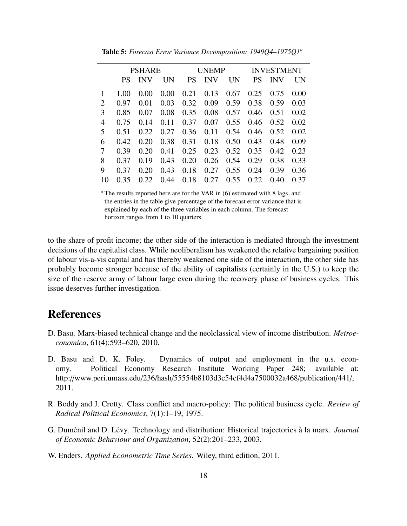|    | <b>PSHARE</b> |            |      |           | UNEMP      |           | <b>INVESTMENT</b> |            |      |
|----|---------------|------------|------|-----------|------------|-----------|-------------------|------------|------|
|    | PS            | <b>INV</b> | UN   | <b>PS</b> | <b>INV</b> | <b>UN</b> | <b>PS</b>         | <b>INV</b> | UN   |
|    | 1.00          | 0.00       | 0.00 | 0.21      | 0.13       | 0.67      | 0.25              | 0.75       | 0.00 |
| 2  | 0.97          | 0.01       | 0.03 | 0.32      | 0.09       | 0.59      | 0.38              | 0.59       | 0.03 |
| 3  | 0.85          | 0.07       | 0.08 | 0.35      | 0.08       | 0.57      | 0.46              | 0.51       | 0.02 |
| 4  | 0.75          | 0.14       | 0.11 | 0.37      | 0.07       | 0.55      | 0.46              | 0.52       | 0.02 |
| 5  | 0.51          | 0.22       | 0.27 | 0.36      | 0.11       | 0.54      | 0.46              | 0.52       | 0.02 |
| 6  | 0.42          | 0.20       | 0.38 | 0.31      | 0.18       | 0.50      | 0.43              | 0.48       | 0.09 |
| 7  | 0.39          | 0.20       | 0.41 | 0.25      | 0.23       | 0.52      | 0.35              | 0.42       | 0.23 |
| 8  | 0.37          | 0.19       | 0.43 | 0.20      | 0.26       | 0.54      | 0.29              | 0.38       | 0.33 |
| 9  | 0.37          | 0.20       | 0.43 | 0.18      | 0.27       | 0.55      | 0.24              | 0.39       | 0.36 |
| 10 | 0.35          | 0.22       | 0.44 | 0.18      | 0.27       | 0.55      | 0.22              | 0.40       | 0.37 |

Table 5: *Forecast Error Variance Decomposition: 1949Q4–1975Q1<sup>a</sup>*

*<sup>a</sup>* The results reported here are for the VAR in (6) estimated with 8 lags, and the entries in the table give percentage of the forecast error variance that is explained by each of the three variables in each column. The forecast horizon ranges from 1 to 10 quarters.

to the share of profit income; the other side of the interaction is mediated through the investment decisions of the capitalist class. While neoliberalism has weakened the relative bargaining position of labour vis-a-vis capital and has thereby weakened one side of the interaction, the other side has probably become stronger because of the ability of capitalists (certainly in the U.S.) to keep the size of the reserve army of labour large even during the recovery phase of business cycles. This issue deserves further investigation.

#### References

- D. Basu. Marx-biased technical change and the neolclassical view of income distribution. *Metroeconomica*, 61(4):593–620, 2010.
- D. Basu and D. K. Foley. Dynamics of output and employment in the u.s. economy. Political Economy Research Institute Working Paper 248; available at: http://www.peri.umass.edu/236/hash/55554b8103d3c54cf4d4a7500032a468/publication/441/, 2011.
- R. Boddy and J. Crotty. Class conflict and macro-policy: The political business cycle. *Review of Radical Political Economics*, 7(1):1–19, 1975.
- G. Duménil and D. Lévy. Technology and distribution: Historical trajectories à la marx. *Journal of Economic Behaviour and Organization*, 52(2):201–233, 2003.
- W. Enders. *Applied Econometric Time Series*. Wiley, third edition, 2011.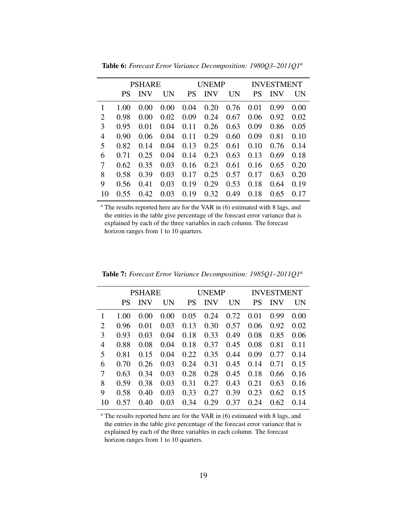|                | PSHARE |            |      |           | <b>UNEMP</b> |           | <b>INVESTMENT</b> |            |      |
|----------------|--------|------------|------|-----------|--------------|-----------|-------------------|------------|------|
|                | PS     | <b>INV</b> | UN   | <b>PS</b> | <b>INV</b>   | <b>UN</b> | <b>PS</b>         | <b>INV</b> | UN   |
| 1              | 1.00   | 0.00       | 0.00 | 0.04      | 0.20         | 0.76      | 0.01              | 0.99       | 0.00 |
| $\overline{2}$ | 0.98   | 0.00       | 0.02 | 0.09      | 0.24         | 0.67      | 0.06              | 0.92       | 0.02 |
| 3              | 0.95   | 0.01       | 0.04 | 0.11      | 0.26         | 0.63      | 0.09              | 0.86       | 0.05 |
| 4              | 0.90   | 0.06       | 0.04 | 0.11      | 0.29         | 0.60      | 0.09              | 0.81       | 0.10 |
| 5              | 0.82   | 0.14       | 0.04 | 0.13      | 0.25         | 0.61      | 0.10              | 0.76       | 0.14 |
| 6              | 0.71   | 0.25       | 0.04 | 0.14      | 0.23         | 0.63      | 0.13              | 0.69       | 0.18 |
| 7              | 0.62   | 0.35       | 0.03 | 0.16      | 0.23         | 0.61      | 0.16              | 0.65       | 0.20 |
| 8              | 0.58   | 0.39       | 0.03 | 0.17      | 0.25         | 0.57      | 0.17              | 0.63       | 0.20 |
| 9              | 0.56   | 0.41       | 0.03 | 0.19      | 0.29         | 0.53      | 0.18              | 0.64       | 0.19 |
| 10             | 0.55   | 0.42       | 0.03 | 0.19      | 0.32         | 0.49      | 0.18              | 0.65       | 0.17 |

Table 6: *Forecast Error Variance Decomposition: 1980Q3–2011Q1<sup>a</sup>*

*<sup>a</sup>* The results reported here are for the VAR in (6) estimated with 8 lags, and the entries in the table give percentage of the forecast error variance that is explained by each of the three variables in each column. The forecast horizon ranges from 1 to 10 quarters.

|    | <b>PSHARE</b> |            |      |           | UNEMP      |      | <b>INVESTMENT</b> |      |      |
|----|---------------|------------|------|-----------|------------|------|-------------------|------|------|
|    | PS            | <b>INV</b> | UN   | <b>PS</b> | <b>INV</b> | UN   | <b>PS</b>         | INV  | UN   |
| 1  | 1.00          | 0.00       | 0.00 | 0.05      | 0.24       | 0.72 | 0.01              | 0.99 | 0.00 |
| 2  | 0.96          | 0.01       | 0.03 | 0.13      | 0.30       | 0.57 | 0.06              | 0.92 | 0.02 |
| 3  | 0.93          | 0.03       | 0.04 | 0.18      | 0.33       | 0.49 | 0.08              | 0.85 | 0.06 |
| 4  | 0.88          | 0.08       | 0.04 | 0.18      | 0.37       | 0.45 | 0.08              | 0.81 | 0.11 |
| 5  | 0.81          | 0.15       | 0.04 | 0.22      | 0.35       | 0.44 | 0.09              | 0.77 | 0.14 |
| 6  | 0.70          | 0.26       | 0.03 | 0.24      | 0.31       | 0.45 | 0.14              | 0.71 | 0.15 |
| 7  | 0.63          | 0.34       | 0.03 | 0.28      | 0.28       | 0.45 | 0.18              | 0.66 | 0.16 |
| 8  | 0.59          | 0.38       | 0.03 | 0.31      | 0.27       | 0.43 | 0.21              | 0.63 | 0.16 |
| 9  | 0.58          | 0.40       | 0.03 | 0.33      | 0.27       | 0.39 | 0.23              | 0.62 | 0.15 |
| 10 | 0.57          | 0.40       | 0.03 | 0.34      | 0.29       | 0.37 | 0.24              | 0.62 | 0.14 |

Table 7: *Forecast Error Variance Decomposition: 1985Q1–2011Q1<sup>a</sup>*

*<sup>a</sup>* The results reported here are for the VAR in (6) estimated with 8 lags, and the entries in the table give percentage of the forecast error variance that is explained by each of the three variables in each column. The forecast horizon ranges from 1 to 10 quarters.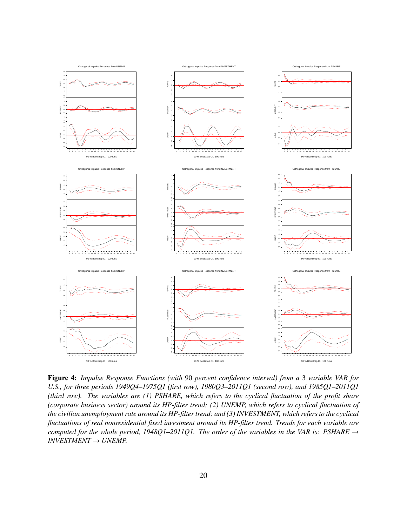

Figure 4: *Impulse Response Functions (with* 90 *percent confidence interval) from a* 3 *variable VAR for U.S., for three periods 1949Q4–1975Q1 (first row), 1980Q3–2011Q1 (second row), and 1985Q1–2011Q1 (third row). The variables are (1) PSHARE, which refers to the cyclical fluctuation of the profit share (corporate business sector) around its HP-filter trend; (2) UNEMP, which refers to cyclical fluctuation of the civilian unemployment rate around its HP-filter trend; and (3) INVESTMENT, which refers to the cyclical fluctuations of real nonresidential fixed investment around its HP-filter trend. Trends for each variable are computed for the whole period, 1948Q1–2011Q1. The order of the variables in the VAR is: PSHARE* → *INVESTMENT* → *UNEMP.*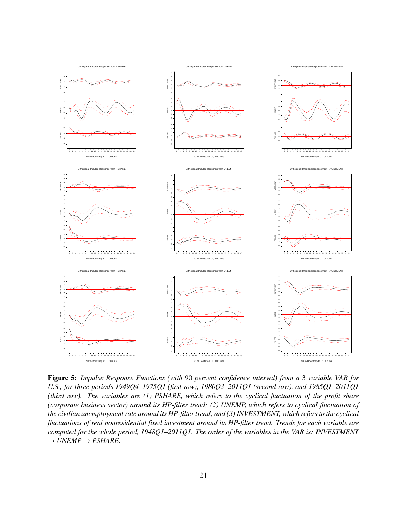

Figure 5: *Impulse Response Functions (with* 90 *percent confidence interval) from a* 3 *variable VAR for U.S., for three periods 1949Q4–1975Q1 (first row), 1980Q3–2011Q1 (second row), and 1985Q1–2011Q1 (third row). The variables are (1) PSHARE, which refers to the cyclical fluctuation of the profit share (corporate business sector) around its HP-filter trend; (2) UNEMP, which refers to cyclical fluctuation of the civilian unemployment rate around its HP-filter trend; and (3) INVESTMENT, which refers to the cyclical fluctuations of real nonresidential fixed investment around its HP-filter trend. Trends for each variable are computed for the whole period, 1948Q1–2011Q1. The order of the variables in the VAR is: INVESTMENT*  $\rightarrow$  *UNEMP*  $\rightarrow$  *PSHARE.*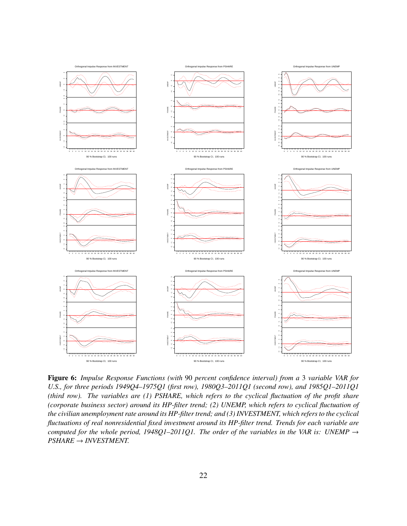

Figure 6: *Impulse Response Functions (with* 90 *percent confidence interval) from a* 3 *variable VAR for U.S., for three periods 1949Q4–1975Q1 (first row), 1980Q3–2011Q1 (second row), and 1985Q1–2011Q1 (third row). The variables are (1) PSHARE, which refers to the cyclical fluctuation of the profit share (corporate business sector) around its HP-filter trend; (2) UNEMP, which refers to cyclical fluctuation of the civilian unemployment rate around its HP-filter trend; and (3) INVESTMENT, which refers to the cyclical fluctuations of real nonresidential fixed investment around its HP-filter trend. Trends for each variable are computed for the whole period, 1948Q1–2011Q1. The order of the variables in the VAR is: UNEMP* → *PSHARE* → *INVESTMENT.*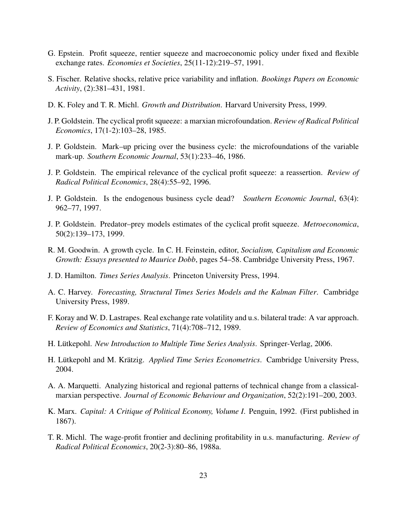- G. Epstein. Profit squeeze, rentier squeeze and macroeconomic policy under fixed and flexible exchange rates. *Economies et Societies*, 25(11-12):219–57, 1991.
- S. Fischer. Relative shocks, relative price variability and inflation. *Bookings Papers on Economic Activity*, (2):381–431, 1981.
- D. K. Foley and T. R. Michl. *Growth and Distribution*. Harvard University Press, 1999.
- J. P. Goldstein. The cyclical profit squeeze: a marxian microfoundation. *Review of Radical Political Economics*, 17(1-2):103–28, 1985.
- J. P. Goldstein. Mark–up pricing over the business cycle: the microfoundations of the variable mark-up. *Southern Economic Journal*, 53(1):233–46, 1986.
- J. P. Goldstein. The empirical relevance of the cyclical profit squeeze: a reassertion. *Review of Radical Political Economics*, 28(4):55–92, 1996.
- J. P. Goldstein. Is the endogenous business cycle dead? *Southern Economic Journal*, 63(4): 962–77, 1997.
- J. P. Goldstein. Predator–prey models estimates of the cyclical profit squeeze. *Metroeconomica*, 50(2):139–173, 1999.
- R. M. Goodwin. A growth cycle. In C. H. Feinstein, editor, *Socialism, Capitalism and Economic Growth: Essays presented to Maurice Dobb*, pages 54–58. Cambridge University Press, 1967.
- J. D. Hamilton. *Times Series Analysis*. Princeton University Press, 1994.
- A. C. Harvey. *Forecasting, Structural Times Series Models and the Kalman Filter*. Cambridge University Press, 1989.
- F. Koray and W. D. Lastrapes. Real exchange rate volatility and u.s. bilateral trade: A var approach. *Review of Economics and Statistics*, 71(4):708–712, 1989.
- H. Lutkepohl. ¨ *New Introduction to Multiple Time Series Analysis*. Springer-Verlag, 2006.
- H. Lütkepohl and M. Krätzig. *Applied Time Series Econometrics*. Cambridge University Press, 2004.
- A. A. Marquetti. Analyzing historical and regional patterns of technical change from a classicalmarxian perspective. *Journal of Economic Behaviour and Organization*, 52(2):191–200, 2003.
- K. Marx. *Capital: A Critique of Political Economy, Volume I*. Penguin, 1992. (First published in 1867).
- T. R. Michl. The wage-profit frontier and declining profitability in u.s. manufacturing. *Review of Radical Political Economics*, 20(2-3):80–86, 1988a.